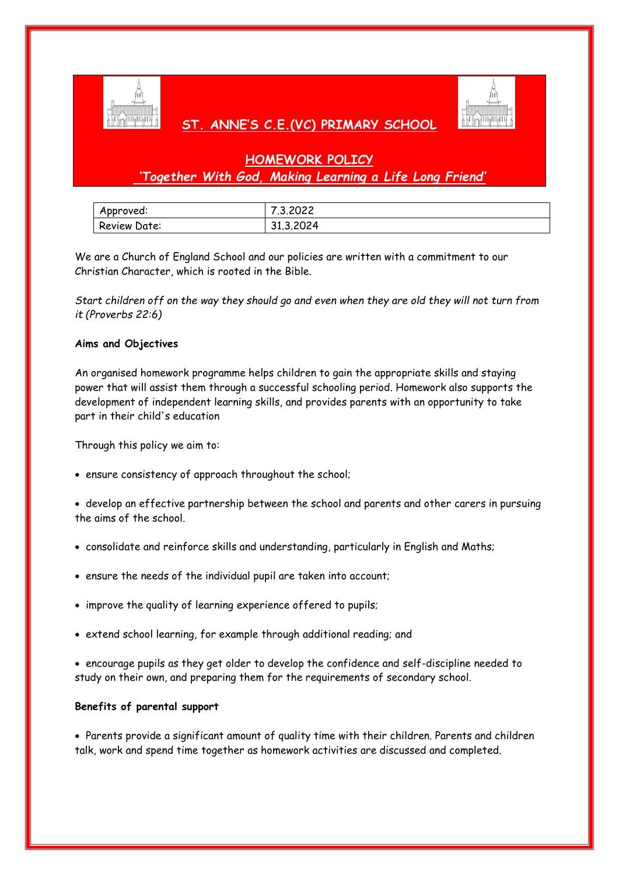

# **ST. ANNE'S C.E.(VC) PRIMARY SCHOOL**



# **HOMEWORK POLICY** *'Together With God, Making Learning a Life Long Friend'*

| Approved:           | 7.3.2022  |
|---------------------|-----------|
| <b>Review Date:</b> | 31.3.2024 |

We are a Church of England School and our policies are written with a commitment to our Christian Character, which is rooted in the Bible.

*Start children off on the way they should go and even when they are old they will not turn from it (Proverbs 22:6)*

# **Aims and Objectives**

An organised homework programme helps children to gain the appropriate skills and staying power that will assist them through a successful schooling period. Homework also supports the development of independent learning skills, and provides parents with an opportunity to take part in their child's education

Through this policy we aim to:

ensure consistency of approach throughout the school;

 develop an effective partnership between the school and parents and other carers in pursuing the aims of the school.

- consolidate and reinforce skills and understanding, particularly in English and Maths;
- ensure the needs of the individual pupil are taken into account;
- improve the quality of learning experience offered to pupils;
- extend school learning, for example through additional reading; and

 encourage pupils as they get older to develop the confidence and self-discipline needed to study on their own, and preparing them for the requirements of secondary school.

# **Benefits of parental support**

 Parents provide a significant amount of quality time with their children. Parents and children talk, work and spend time together as homework activities are discussed and completed.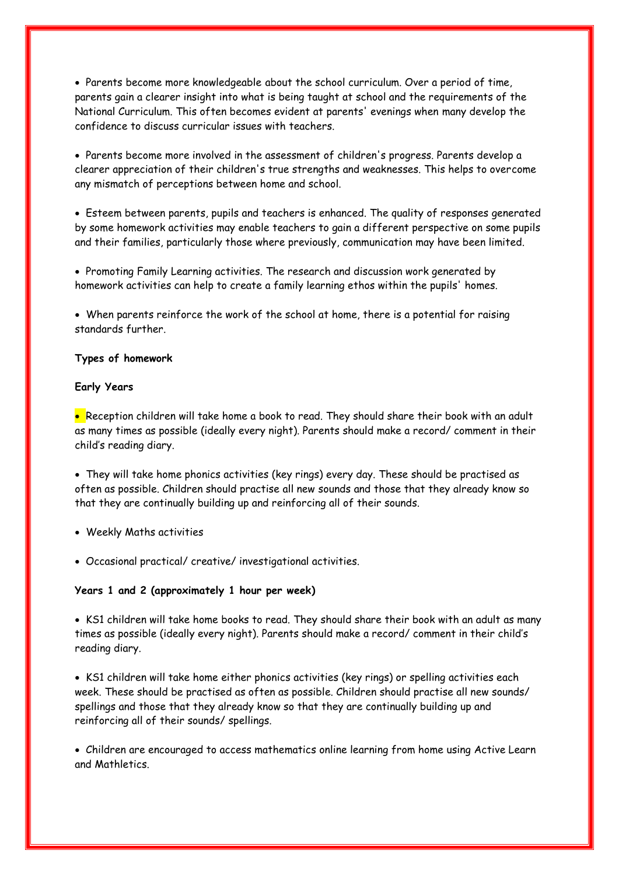Parents become more knowledgeable about the school curriculum. Over a period of time, parents gain a clearer insight into what is being taught at school and the requirements of the National Curriculum. This often becomes evident at parents' evenings when many develop the confidence to discuss curricular issues with teachers.

 Parents become more involved in the assessment of children's progress. Parents develop a clearer appreciation of their children's true strengths and weaknesses. This helps to overcome any mismatch of perceptions between home and school.

 Esteem between parents, pupils and teachers is enhanced. The quality of responses generated by some homework activities may enable teachers to gain a different perspective on some pupils and their families, particularly those where previously, communication may have been limited.

 Promoting Family Learning activities. The research and discussion work generated by homework activities can help to create a family learning ethos within the pupils' homes.

 When parents reinforce the work of the school at home, there is a potential for raising standards further.

# **Types of homework**

## **Early Years**

• Reception children will take home a book to read. They should share their book with an adult as many times as possible (ideally every night). Parents should make a record/ comment in their child's reading diary.

 They will take home phonics activities (key rings) every day. These should be practised as often as possible. Children should practise all new sounds and those that they already know so that they are continually building up and reinforcing all of their sounds.

- Weekly Maths activities
- Occasional practical/ creative/ investigational activities.

## **Years 1 and 2 (approximately 1 hour per week)**

 KS1 children will take home books to read. They should share their book with an adult as many times as possible (ideally every night). Parents should make a record/ comment in their child's reading diary.

 KS1 children will take home either phonics activities (key rings) or spelling activities each week. These should be practised as often as possible. Children should practise all new sounds/ spellings and those that they already know so that they are continually building up and reinforcing all of their sounds/ spellings.

 Children are encouraged to access mathematics online learning from home using Active Learn and Mathletics.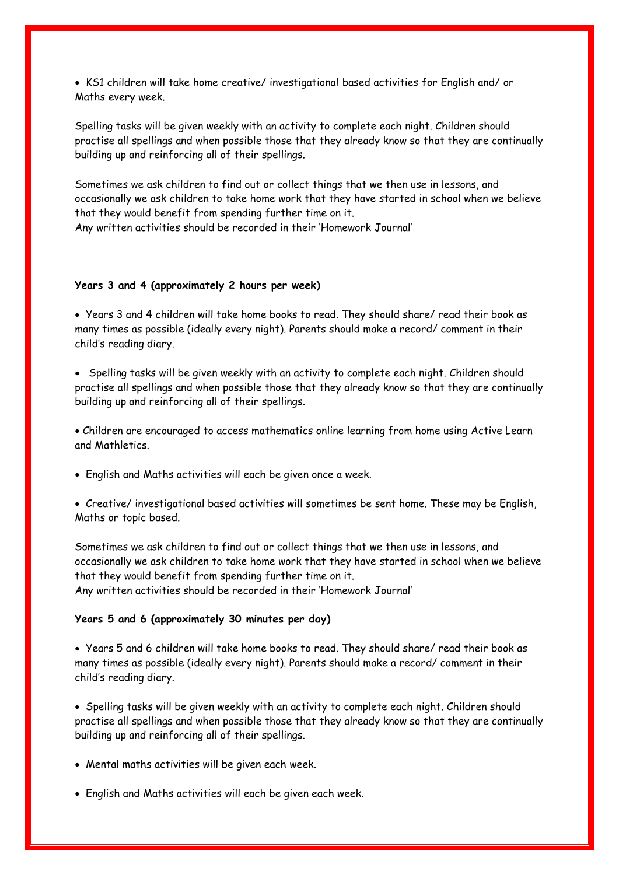KS1 children will take home creative/ investigational based activities for English and/ or Maths every week.

Spelling tasks will be given weekly with an activity to complete each night. Children should practise all spellings and when possible those that they already know so that they are continually building up and reinforcing all of their spellings.

Sometimes we ask children to find out or collect things that we then use in lessons, and occasionally we ask children to take home work that they have started in school when we believe that they would benefit from spending further time on it. Any written activities should be recorded in their 'Homework Journal'

#### **Years 3 and 4 (approximately 2 hours per week)**

 Years 3 and 4 children will take home books to read. They should share/ read their book as many times as possible (ideally every night). Parents should make a record/ comment in their child's reading diary.

• Spelling tasks will be given weekly with an activity to complete each night. Children should practise all spellings and when possible those that they already know so that they are continually building up and reinforcing all of their spellings.

 Children are encouraged to access mathematics online learning from home using Active Learn and Mathletics.

English and Maths activities will each be given once a week.

 Creative/ investigational based activities will sometimes be sent home. These may be English, Maths or topic based.

Sometimes we ask children to find out or collect things that we then use in lessons, and occasionally we ask children to take home work that they have started in school when we believe that they would benefit from spending further time on it. Any written activities should be recorded in their 'Homework Journal'

# **Years 5 and 6 (approximately 30 minutes per day)**

 Years 5 and 6 children will take home books to read. They should share/ read their book as many times as possible (ideally every night). Parents should make a record/ comment in their child's reading diary.

 Spelling tasks will be given weekly with an activity to complete each night. Children should practise all spellings and when possible those that they already know so that they are continually building up and reinforcing all of their spellings.

- Mental maths activities will be given each week.
- English and Maths activities will each be given each week.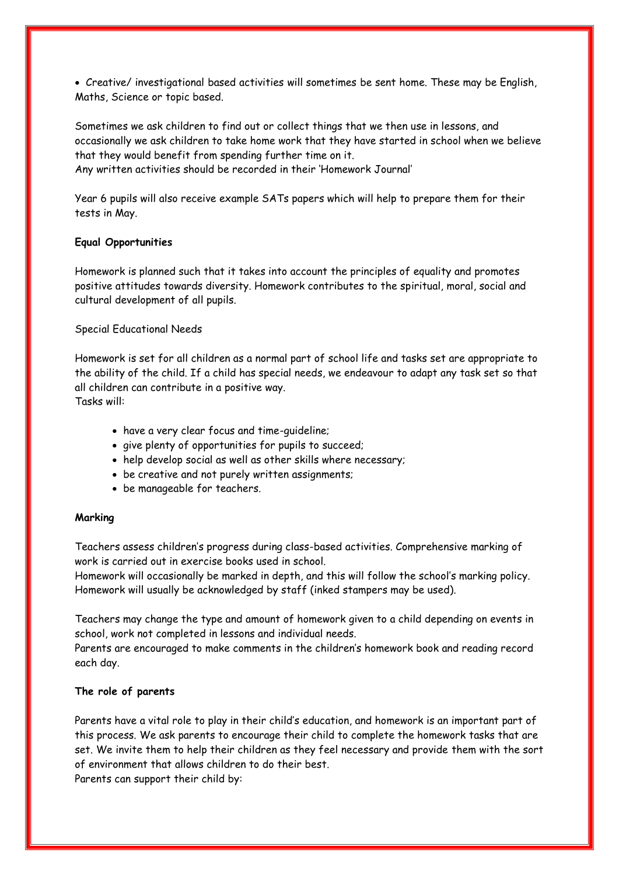Creative/ investigational based activities will sometimes be sent home. These may be English, Maths, Science or topic based.

Sometimes we ask children to find out or collect things that we then use in lessons, and occasionally we ask children to take home work that they have started in school when we believe that they would benefit from spending further time on it. Any written activities should be recorded in their 'Homework Journal'

Year 6 pupils will also receive example SATs papers which will help to prepare them for their tests in May.

## **Equal Opportunities**

Homework is planned such that it takes into account the principles of equality and promotes positive attitudes towards diversity. Homework contributes to the spiritual, moral, social and cultural development of all pupils.

Special Educational Needs

Homework is set for all children as a normal part of school life and tasks set are appropriate to the ability of the child. If a child has special needs, we endeavour to adapt any task set so that all children can contribute in a positive way. Tasks will:

- have a very clear focus and time-guideline;
- give plenty of opportunities for pupils to succeed;
- help develop social as well as other skills where necessary;
- be creative and not purely written assignments;
- be manageable for teachers.

# **Marking**

Teachers assess children's progress during class-based activities. Comprehensive marking of work is carried out in exercise books used in school.

Homework will occasionally be marked in depth, and this will follow the school's marking policy. Homework will usually be acknowledged by staff (inked stampers may be used).

Teachers may change the type and amount of homework given to a child depending on events in school, work not completed in lessons and individual needs.

Parents are encouraged to make comments in the children's homework book and reading record each day.

## **The role of parents**

Parents have a vital role to play in their child's education, and homework is an important part of this process. We ask parents to encourage their child to complete the homework tasks that are set. We invite them to help their children as they feel necessary and provide them with the sort of environment that allows children to do their best. Parents can support their child by: